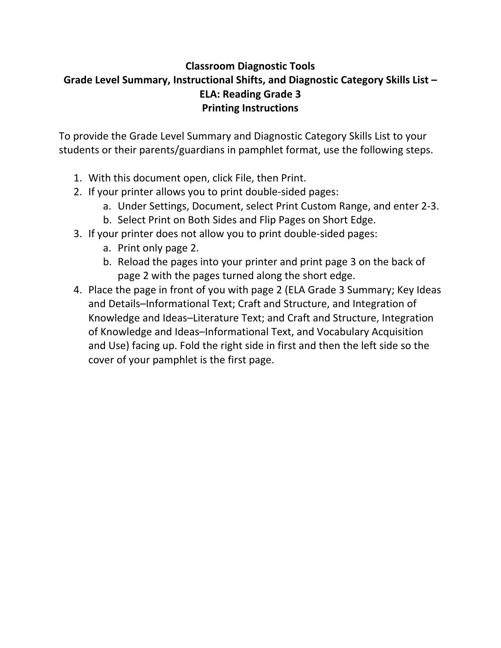# **Classroom Diagnostic Tools Grade Level Summary, Instructional Shifts, and Diagnostic Category Skills List – ELA: Reading Grade 3 Printing Instructions**

To provide the Grade Level Summary and Diagnostic Category Skills List to your students or their parents/guardians in pamphlet format, use the following steps.

- 1. With this document open, click File, then Print.
- 2. If your printer allows you to print double‐sided pages:
	- a. Under Settings, Document, select Print Custom Range, and enter 2‐3.
	- b. Select Print on Both Sides and Flip Pages on Short Edge.
- 3. If your printer does not allow you to print double‐sided pages:
	- a. Print only page 2.
	- b. Reload the pages into your printer and print page 3 on the back of page 2 with the pages turned along the short edge.
- 4. Place the page in front of you with page 2 (ELA Grade 3 Summary; Key Ideas and Details–Informational Text; Craft and Structure, and Integration of Knowledge and Ideas–Literature Text; and Craft and Structure, Integration of Knowledge and Ideas–Informational Text, and Vocabulary Acquisition and Use) facing up. Fold the right side in first and then the left side so the cover of your pamphlet is the first page.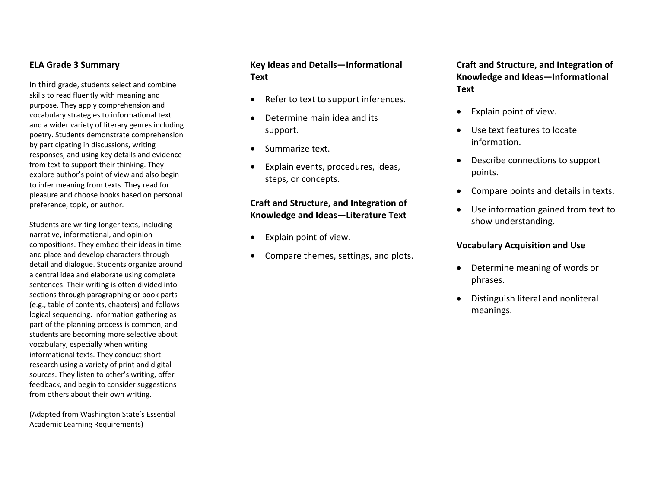#### **ELA Grade 3 Summary**

In third grade, students select and combine skills to read fluently with meaning and purpose. They apply comprehension and vocabulary strategies to informational text and <sup>a</sup> wider variety of literary genres including poetry. Students demonstrate comprehension by participating in discussions, writing responses, and using key details and evidence from text to support their thinking. They explore author's point of view and also begin to infer meaning from texts. They read for pleasure and choose books based on personal preference, topic, or author.

Students are writing longer texts, including narrative, informational, and opinion compositions. They embed their ideas in time and place and develop characters through detail and dialogue. Students organize around a central idea and elaborate using complete sentences. Their writing is often divided into sections through paragraphing or book parts (e.g., table of contents, chapters) and follows logical sequencing. Information gathering as part of the planning process is common, and students are becoming more selective about vocabulary, especially when writing informational texts. They conduct short research using <sup>a</sup> variety of print and digital sources. They listen to other's writing, offer feedback, and begin to consider suggestions from others about their own writing.

(Adapted from Washington State's Essential Academic Learning Requirements)

### **Key Ideas and Details—Informational Text**

- $\bullet$ • Refer to text to support inferences.
- $\bullet$ • Determine main idea and its support.
- $\bullet$ • Summarize text.
- $\bullet$  Explain events, procedures, ideas, steps, or concepts.

## **Craft and Structure, and Integration of Knowledge and Ideas—Literature Text**

- 0 Explain point of view.
- . Compare themes, settings, and plots.

**Craft and Structure, and Integration of Knowledge and Ideas—Informational Text**

- $\bullet$ Explain point of view.
- Use text features to locate information.
- Describe connections to support points.
- . Compare points and details in texts.
- Use information gained from text to show understanding.

#### **Vocabulary Acquisition and Use**

- Determine meaning of words or phrases.
- Distinguish literal and nonliteral meanings.